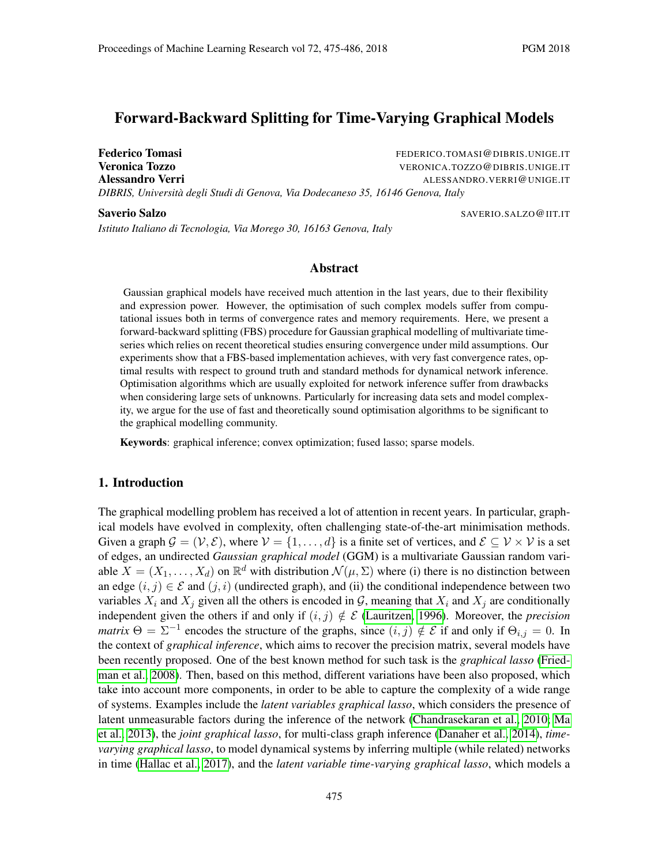# Forward-Backward Splitting for Time-Varying Graphical Models

Federico Tomasi The Communication of the FEDERICO.TOMASI@DIBRIS.UNIGE.IT **Veronica Tozzo VERONICA.TOZZO@DIBRIS.UNIGE.IT** Alessandro Verri **Alessandro Verri Alessandro Verri Alessandro Verri Alessandro Verri Alessandro Verri Alessandro Verri Alessandro Verri Alessandro Verri Alessandro Verri Alessandro Verri Alessandro Verri Alessandro Verri** *DIBRIS, Universita degli Studi di Genova, Via Dodecaneso 35, 16146 Genova, Italy `*

Saverio Salzo SAVERIO.SALZO@IIT.IT *Istituto Italiano di Tecnologia, Via Morego 30, 16163 Genova, Italy*

### Abstract

Gaussian graphical models have received much attention in the last years, due to their flexibility and expression power. However, the optimisation of such complex models suffer from computational issues both in terms of convergence rates and memory requirements. Here, we present a forward-backward splitting (FBS) procedure for Gaussian graphical modelling of multivariate timeseries which relies on recent theoretical studies ensuring convergence under mild assumptions. Our experiments show that a FBS-based implementation achieves, with very fast convergence rates, optimal results with respect to ground truth and standard methods for dynamical network inference. Optimisation algorithms which are usually exploited for network inference suffer from drawbacks when considering large sets of unknowns. Particularly for increasing data sets and model complexity, we argue for the use of fast and theoretically sound optimisation algorithms to be significant to the graphical modelling community.

Keywords: graphical inference; convex optimization; fused lasso; sparse models.

## 1. Introduction

The graphical modelling problem has received a lot of attention in recent years. In particular, graphical models have evolved in complexity, often challenging state-of-the-art minimisation methods. Given a graph  $\mathcal{G} = (\mathcal{V}, \mathcal{E})$ , where  $\mathcal{V} = \{1, \dots, d\}$  is a finite set of vertices, and  $\mathcal{E} \subseteq \mathcal{V} \times \mathcal{V}$  is a set of edges, an undirected *Gaussian graphical model* (GGM) is a multivariate Gaussian random variable  $X = (X_1, \ldots, X_d)$  on  $\mathbb{R}^d$  with distribution  $\mathcal{N}(\mu, \Sigma)$  where (i) there is no distinction between an edge  $(i, j) \in \mathcal{E}$  and  $(j, i)$  (undirected graph), and (ii) the conditional independence between two variables  $X_i$  and  $X_j$  given all the others is encoded in  $G$ , meaning that  $X_i$  and  $X_j$  are conditionally independent given the others if and only if  $(i, j) \notin \mathcal{E}$  [\(Lauritzen, 1996\)](#page-11-0). Moreover, the *precision matrix*  $\Theta = \Sigma^{-1}$  encodes the structure of the graphs, since  $(i, j) \notin \mathcal{E}$  if and only if  $\Theta_{i,j} = 0$ . In the context of *graphical inference*, which aims to recover the precision matrix, several models have been recently proposed. One of the best known method for such task is the *graphical lasso* [\(Fried](#page-11-1)[man et al., 2008\)](#page-11-1). Then, based on this method, different variations have been also proposed, which take into account more components, in order to be able to capture the complexity of a wide range of systems. Examples include the *latent variables graphical lasso*, which considers the presence of latent unmeasurable factors during the inference of the network [\(Chandrasekaran et al., 2010;](#page-11-2) [Ma](#page-11-3) [et al., 2013\)](#page-11-3), the *joint graphical lasso*, for multi-class graph inference [\(Danaher et al., 2014\)](#page-11-4), *timevarying graphical lasso*, to model dynamical systems by inferring multiple (while related) networks in time [\(Hallac et al., 2017\)](#page-11-5), and the *latent variable time-varying graphical lasso*, which models a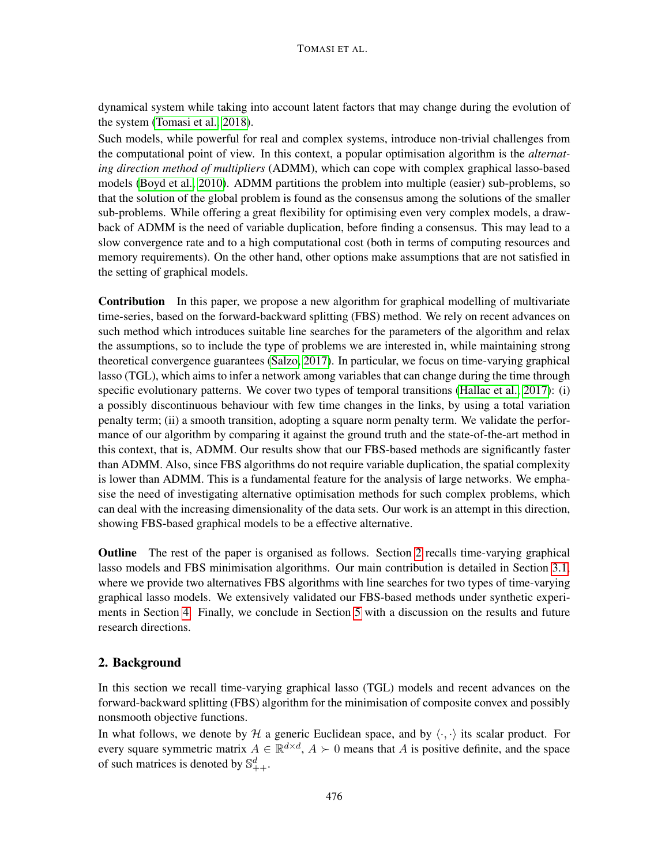dynamical system while taking into account latent factors that may change during the evolution of the system [\(Tomasi et al., 2018\)](#page-11-6).

Such models, while powerful for real and complex systems, introduce non-trivial challenges from the computational point of view. In this context, a popular optimisation algorithm is the *alternating direction method of multipliers* (ADMM), which can cope with complex graphical lasso-based models [\(Boyd et al., 2010\)](#page-11-7). ADMM partitions the problem into multiple (easier) sub-problems, so that the solution of the global problem is found as the consensus among the solutions of the smaller sub-problems. While offering a great flexibility for optimising even very complex models, a drawback of ADMM is the need of variable duplication, before finding a consensus. This may lead to a slow convergence rate and to a high computational cost (both in terms of computing resources and memory requirements). On the other hand, other options make assumptions that are not satisfied in the setting of graphical models.

Contribution In this paper, we propose a new algorithm for graphical modelling of multivariate time-series, based on the forward-backward splitting (FBS) method. We rely on recent advances on such method which introduces suitable line searches for the parameters of the algorithm and relax the assumptions, so to include the type of problems we are interested in, while maintaining strong theoretical convergence guarantees [\(Salzo, 2017\)](#page-11-8). In particular, we focus on time-varying graphical lasso (TGL), which aims to infer a network among variables that can change during the time through specific evolutionary patterns. We cover two types of temporal transitions [\(Hallac et al., 2017\)](#page-11-5): (i) a possibly discontinuous behaviour with few time changes in the links, by using a total variation penalty term; (ii) a smooth transition, adopting a square norm penalty term. We validate the performance of our algorithm by comparing it against the ground truth and the state-of-the-art method in this context, that is, ADMM. Our results show that our FBS-based methods are significantly faster than ADMM. Also, since FBS algorithms do not require variable duplication, the spatial complexity is lower than ADMM. This is a fundamental feature for the analysis of large networks. We emphasise the need of investigating alternative optimisation methods for such complex problems, which can deal with the increasing dimensionality of the data sets. Our work is an attempt in this direction, showing FBS-based graphical models to be a effective alternative.

Outline The rest of the paper is organised as follows. Section [2](#page-1-0) recalls time-varying graphical lasso models and FBS minimisation algorithms. Our main contribution is detailed in Section [3.1,](#page-4-0) where we provide two alternatives FBS algorithms with line searches for two types of time-varying graphical lasso models. We extensively validated our FBS-based methods under synthetic experiments in Section [4.](#page-7-0) Finally, we conclude in Section [5](#page-10-0) with a discussion on the results and future research directions.

## <span id="page-1-0"></span>2. Background

In this section we recall time-varying graphical lasso (TGL) models and recent advances on the forward-backward splitting (FBS) algorithm for the minimisation of composite convex and possibly nonsmooth objective functions.

In what follows, we denote by H a generic Euclidean space, and by  $\langle \cdot, \cdot \rangle$  its scalar product. For every square symmetric matrix  $A \in \mathbb{R}^{d \times d}$ ,  $A \succ 0$  means that A is positive definite, and the space of such matrices is denoted by  $\mathbb{S}^d_{++}$ .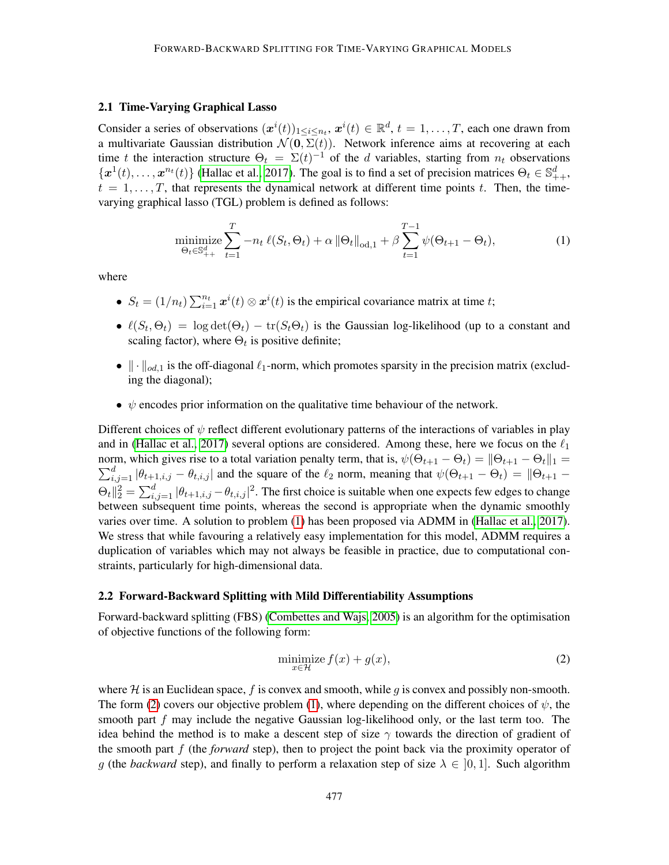#### <span id="page-2-2"></span>2.1 Time-Varying Graphical Lasso

Consider a series of observations  $(x^{i}(t))_{1 \leq i \leq n_{t}}$ ,  $x^{i}(t) \in \mathbb{R}^{d}$ ,  $t = 1, ..., T$ , each one drawn from a multivariate Gaussian distribution  $\mathcal{N}(\mathbf{0}, \Sigma(t))$ . Network inference aims at recovering at each time t the interaction structure  $\Theta_t = \Sigma(t)^{-1}$  of the d variables, starting from  $n_t$  observations  $\{\boldsymbol{x}^1(t), \ldots, \boldsymbol{x}^{n_t}(t)\}\$  [\(Hallac et al., 2017\)](#page-11-5). The goal is to find a set of precision matrices  $\Theta_t \in \mathbb{S}_{++}^d$ ,  $t = 1, \ldots, T$ , that represents the dynamical network at different time points t. Then, the timevarying graphical lasso (TGL) problem is defined as follows:

<span id="page-2-0"></span>minimize
$$
\sum_{\Theta_t \in \mathbb{S}_{++}^d}^T - n_t \ell(S_t, \Theta_t) + \alpha \|\Theta_t\|_{\text{od},1} + \beta \sum_{t=1}^{T-1} \psi(\Theta_{t+1} - \Theta_t),
$$
 (1)

where

- $S_t = (1/n_t) \sum_{i=1}^{n_t} x^i(t) \otimes x^i(t)$  is the empirical covariance matrix at time t;
- $\ell(S_t, \Theta_t) = \log \det(\Theta_t) \text{tr}(S_t \Theta_t)$  is the Gaussian log-likelihood (up to a constant and scaling factor), where  $\Theta_t$  is positive definite;
- $\|\cdot\|_{od,1}$  is the off-diagonal  $\ell_1$ -norm, which promotes sparsity in the precision matrix (excluding the diagonal);
- $\psi$  encodes prior information on the qualitative time behaviour of the network.

Different choices of  $\psi$  reflect different evolutionary patterns of the interactions of variables in play and in [\(Hallac et al., 2017\)](#page-11-5) several options are considered. Among these, here we focus on the  $\ell_1$ norm, which gives rise to a total variation penalty term, that is,  $\psi(\Theta_{t+1}-\Theta_t) = \|\Theta_{t+1}-\Theta_t\|_1 =$  $\sum_{i,j=1}^d |\theta_{t+1,i,j} - \theta_{t,i,j}|$  and the square of the  $\ell_2$  norm, meaning that  $\psi(\Theta_{t+1} - \Theta_t) = ||\Theta_{t+1} - \Theta_t||$  $\Theta_t\|_2^2 = \sum_{i,j=1}^d |\theta_{t+1,i,j} - \theta_{t,i,j}|^2$ . The first choice is suitable when one expects few edges to change between subsequent time points, whereas the second is appropriate when the dynamic smoothly varies over time. A solution to problem [\(1\)](#page-2-0) has been proposed via ADMM in [\(Hallac et al., 2017\)](#page-11-5). We stress that while favouring a relatively easy implementation for this model, ADMM requires a duplication of variables which may not always be feasible in practice, due to computational constraints, particularly for high-dimensional data.

#### 2.2 Forward-Backward Splitting with Mild Differentiability Assumptions

Forward-backward splitting (FBS) [\(Combettes and Wajs, 2005\)](#page-11-9) is an algorithm for the optimisation of objective functions of the following form:

<span id="page-2-1"></span>
$$
\underset{x \in \mathcal{H}}{\text{minimize}} f(x) + g(x),\tag{2}
$$

where  $H$  is an Euclidean space, f is convex and smooth, while g is convex and possibly non-smooth. The form [\(2\)](#page-2-1) covers our objective problem [\(1\)](#page-2-0), where depending on the different choices of  $\psi$ , the smooth part  $f$  may include the negative Gaussian log-likelihood only, or the last term too. The idea behind the method is to make a descent step of size  $\gamma$  towards the direction of gradient of the smooth part f (the *forward* step), then to project the point back via the proximity operator of g (the *backward* step), and finally to perform a relaxation step of size  $\lambda \in [0, 1]$ . Such algorithm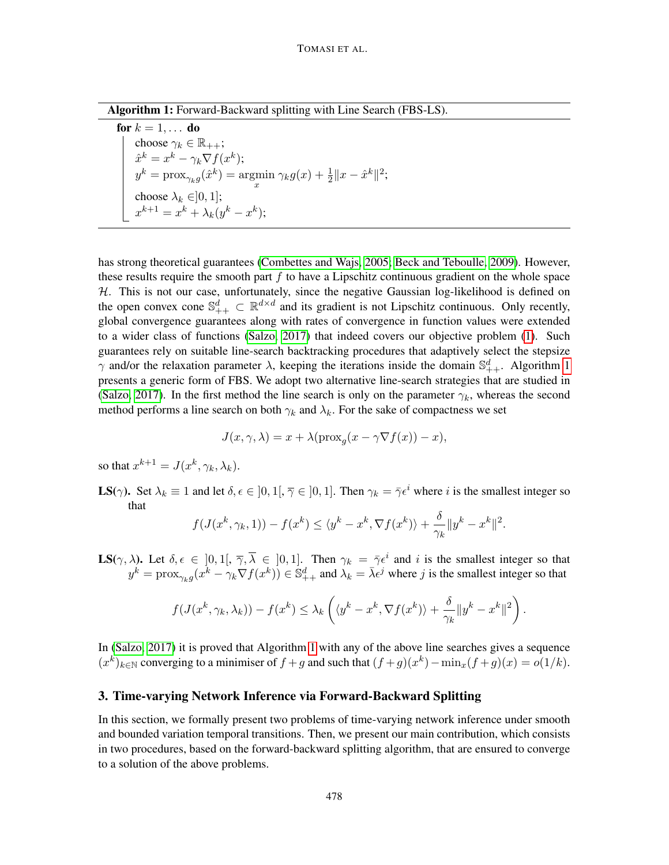Algorithm 1: Forward-Backward splitting with Line Search (FBS-LS).

for  $k = 1, \ldots$  do choose  $\gamma_k \in \mathbb{R}_{++}$  $\hat{x}^k = x^k - \gamma_k \nabla f(x^k);$  $y^k = \text{prox}_{\gamma_k g}(\hat{x}^k) = \text{argmin}$  $\min_{x} \gamma_k g(x) + \frac{1}{2} \|x - \hat{x}^k\|^2;$ choose  $\lambda_k \in ]0,1]$ ;  $x^{k+1} = x^k + \lambda_k (y^k - x^k);$ 

<span id="page-3-0"></span>has strong theoretical guarantees [\(Combettes and Wajs, 2005;](#page-11-9) [Beck and Teboulle, 2009\)](#page-11-10). However, these results require the smooth part  $f$  to have a Lipschitz continuous gradient on the whole space  $H$ . This is not our case, unfortunately, since the negative Gaussian log-likelihood is defined on the open convex cone  $\mathbb{S}_{++}^d \subset \mathbb{R}^{d \times d}$  and its gradient is not Lipschitz continuous. Only recently, global convergence guarantees along with rates of convergence in function values were extended to a wider class of functions [\(Salzo, 2017\)](#page-11-8) that indeed covers our objective problem [\(1\)](#page-2-0). Such guarantees rely on suitable line-search backtracking procedures that adaptively select the stepsize  $\gamma$  and/or the relaxation parameter  $\lambda$ , keeping the iterations inside the domain  $\mathbb{S}^d_{++}$ . Algorithm [1](#page-3-0) presents a generic form of FBS. We adopt two alternative line-search strategies that are studied in [\(Salzo, 2017\)](#page-11-8). In the first method the line search is only on the parameter  $\gamma_k$ , whereas the second method performs a line search on both  $\gamma_k$  and  $\lambda_k$ . For the sake of compactness we set

$$
J(x, \gamma, \lambda) = x + \lambda (\operatorname{prox}_{g}(x - \gamma \nabla f(x)) - x),
$$

so that  $x^{k+1} = J(x^k, \gamma_k, \lambda_k)$ .

**LS**( $\gamma$ ). Set  $\lambda_k \equiv 1$  and let  $\delta, \epsilon \in [0, 1], \overline{\gamma} \in [0, 1]$ . Then  $\gamma_k = \overline{\gamma} \epsilon^i$  where i is the smallest integer so that

$$
f(J(x^k, \gamma_k, 1)) - f(x^k) \le \langle y^k - x^k, \nabla f(x^k) \rangle + \frac{\delta}{\gamma_k} \|y^k - x^k\|^2.
$$

**LS**( $\gamma$ ,  $\lambda$ ). Let  $\delta$ ,  $\epsilon \in [0,1], \overline{\gamma}$ ,  $\overline{\lambda} \in [0,1]$ . Then  $\gamma_k = \overline{\gamma} \epsilon^i$  and i is the smallest integer so that  $y^k = \text{prox}_{\gamma_k g}(x^k - \gamma_k \nabla f(x^k)) \in \mathbb{S}^d_{++}$  and  $\lambda_k = \bar{\lambda} \epsilon^j$  where j is the smallest integer so that

$$
f(J(x^k, \gamma_k, \lambda_k)) - f(x^k) \leq \lambda_k \left( \langle y^k - x^k, \nabla f(x^k) \rangle + \frac{\delta}{\gamma_k} \| y^k - x^k \|^2 \right).
$$

In [\(Salzo, 2017\)](#page-11-8) it is proved that Algorithm [1](#page-3-0) with any of the above line searches gives a sequence  $(x^{k})_{k\in\mathbb{N}}$  converging to a minimiser of  $f+g$  and such that  $(f+g)(x^{k}) - \min_{x}(f+g)(x) = o(1/k)$ .

## 3. Time-varying Network Inference via Forward-Backward Splitting

In this section, we formally present two problems of time-varying network inference under smooth and bounded variation temporal transitions. Then, we present our main contribution, which consists in two procedures, based on the forward-backward splitting algorithm, that are ensured to converge to a solution of the above problems.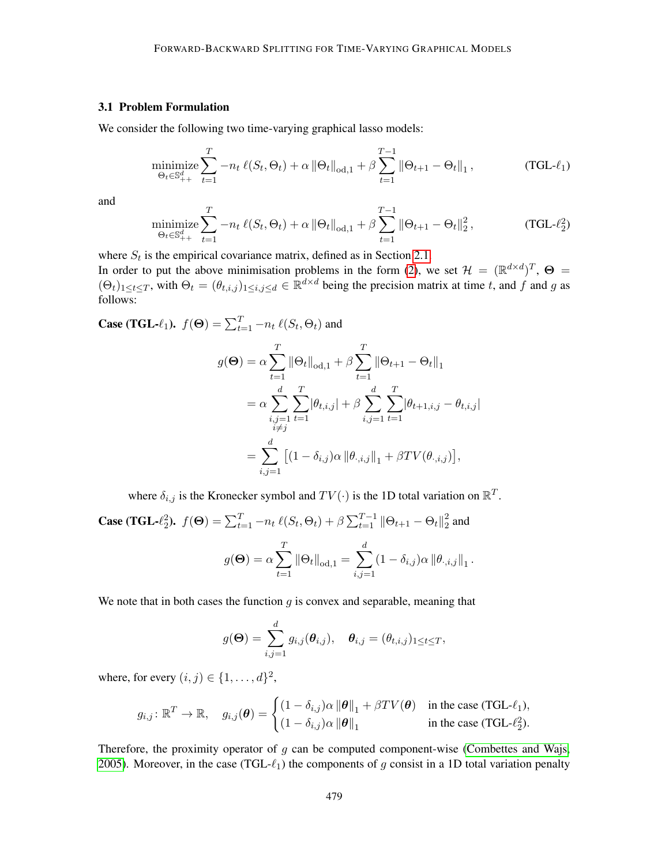### <span id="page-4-0"></span>3.1 Problem Formulation

We consider the following two time-varying graphical lasso models:

<span id="page-4-1"></span>
$$
\underset{\Theta_t \in \mathbb{S}_{++}^d}{\text{minimize}} \sum_{t=1}^T -n_t \,\ell(S_t, \Theta_t) + \alpha \left\| \Theta_t \right\|_{\text{od},1} + \beta \sum_{t=1}^{T-1} \left\| \Theta_{t+1} - \Theta_t \right\|_1, \tag{TGL-1}
$$

and

$$
\underset{\Theta_t \in \mathbb{S}_{++}^d}{\text{minimize}} \sum_{t=1}^T -n_t \,\ell(S_t, \Theta_t) + \alpha \left\| \Theta_t \right\|_{\text{od},1} + \beta \sum_{t=1}^{T-1} \left\| \Theta_{t+1} - \Theta_t \right\|_2^2, \tag{TGL-22}
$$

where  $S_t$  is the empirical covariance matrix, defined as in Section [2.1.](#page-2-2)

In order to put the above minimisation problems in the form [\(2\)](#page-2-1), we set  $\mathcal{H} = (\mathbb{R}^{d \times d})^T$ ,  $\Theta =$  $(\Theta_t)_{1 \le t \le T}$ , with  $\Theta_t = (\theta_{t,i,j})_{1 \le i,j \le d} \in \mathbb{R}^{d \times d}$  being the precision matrix at time t, and f and g as follows:

**Case (TGL-** $\ell_1$ ).  $f(\Theta) = \sum_{t=1}^T -n_t \ell(S_t, \Theta_t)$  and

$$
g(\Theta) = \alpha \sum_{t=1}^{T} ||\Theta_t||_{\text{od},1} + \beta \sum_{t=1}^{T} ||\Theta_{t+1} - \Theta_t||_1
$$
  
=  $\alpha \sum_{\substack{i,j=1 \ i \neq j}}^{d} \sum_{t=1}^{T} |\theta_{t,i,j}| + \beta \sum_{i,j=1}^{d} \sum_{t=1}^{T} |\theta_{t+1,i,j} - \theta_{t,i,j}|$   
=  $\sum_{i,j=1}^{d} [(1 - \delta_{i,j}) \alpha ||\theta_{\cdot,i,j}||_1 + \beta TV(\theta_{\cdot,i,j})],$ 

where  $\delta_{i,j}$  is the Kronecker symbol and  $TV(\cdot)$  is the 1D total variation on  $\mathbb{R}^T$ .

Case (TGL-
$$
\ell_2^2
$$
).  $f(\Theta) = \sum_{t=1}^T -n_t \ell(S_t, \Theta_t) + \beta \sum_{t=1}^{T-1} ||\Theta_{t+1} - \Theta_t||_2^2$  and  

$$
g(\Theta) = \alpha \sum_{t=1}^T ||\Theta_t||_{\text{od},1} = \sum_{i,j=1}^d (1 - \delta_{i,j}) \alpha ||\theta_{\cdot,i,j}||_1.
$$

We note that in both cases the function  $q$  is convex and separable, meaning that

$$
g(\mathbf{\Theta}) = \sum_{i,j=1}^d g_{i,j}(\boldsymbol{\theta}_{i,j}), \quad \boldsymbol{\theta}_{i,j} = (\theta_{t,i,j})_{1 \leq t \leq T},
$$

where, for every  $(i, j) \in \{1, \ldots, d\}^2$ ,

$$
g_{i,j} \colon \mathbb{R}^T \to \mathbb{R}, \quad g_{i,j}(\boldsymbol{\theta}) = \begin{cases} (1 - \delta_{i,j}) \alpha \left\| \boldsymbol{\theta} \right\|_1 + \beta T V(\boldsymbol{\theta}) & \text{in the case (TGL- $\ell_1$ ),} \\ (1 - \delta_{i,j}) \alpha \left\| \boldsymbol{\theta} \right\|_1 & \text{in the case (TGL- $\ell_2^2$ ).} \end{cases}
$$

Therefore, the proximity operator of  $g$  can be computed component-wise [\(Combettes and Wajs,](#page-11-9) [2005\)](#page-11-9). Moreover, in the case (TGL- $\ell_1$ ) the components of g consist in a 1D total variation penalty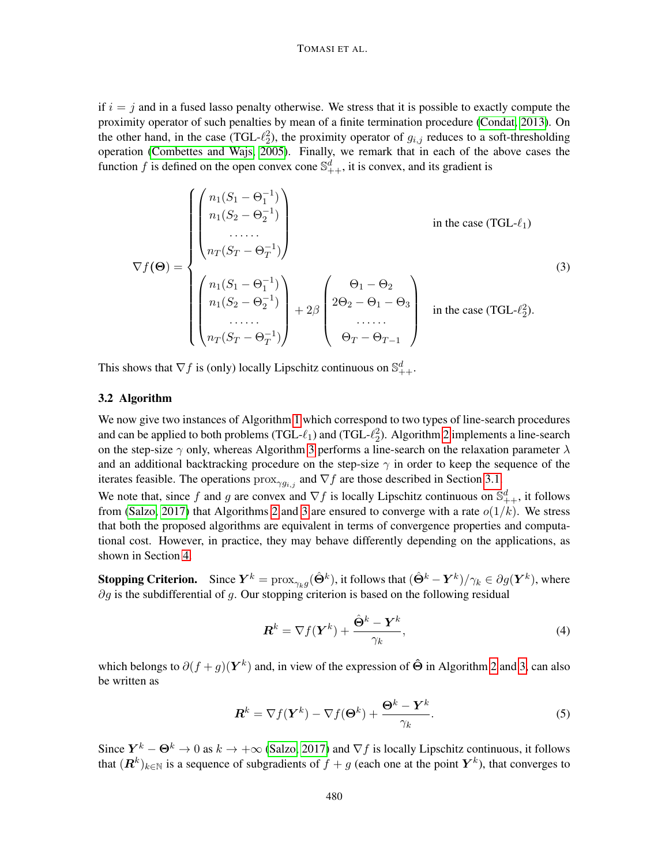#### TOMASI ET AL.

if  $i = j$  and in a fused lasso penalty otherwise. We stress that it is possible to exactly compute the proximity operator of such penalties by mean of a finite termination procedure [\(Condat, 2013\)](#page-11-11). On the other hand, in the case (TGL- $\ell_2^2$ ), the proximity operator of  $g_{i,j}$  reduces to a soft-thresholding operation [\(Combettes and Wajs, 2005\)](#page-11-9). Finally, we remark that in each of the above cases the function f is defined on the open convex cone  $\mathbb{S}_{++}^d$ , it is convex, and its gradient is

$$
\nabla f(\Theta) = \begin{cases} \begin{pmatrix} n_1(S_1 - \Theta_1^{-1}) \\ n_1(S_2 - \Theta_2^{-1}) \\ \dots \\ n_T(S_T - \Theta_T^{-1}) \end{pmatrix} & \text{in the case (TGL- $\ell_1$ )} \\ \begin{pmatrix} n_1(S_1 - \Theta_1^{-1}) \\ n_1(S_2 - \Theta_2^{-1}) \\ \dots \\ n_T(S_T - \Theta_T^{-1}) \end{pmatrix} + 2\beta \begin{pmatrix} \Theta_1 - \Theta_2 \\ 2\Theta_2 - \Theta_1 - \Theta_3 \\ \dots \\ \Theta_T - \Theta_{T-1} \end{pmatrix} & \text{in the case (TGL- $\ell_2$ ).} \end{cases}
$$

This shows that  $\nabla f$  is (only) locally Lipschitz continuous on  $\mathbb{S}^d_{++}$ .

#### 3.2 Algorithm

We now give two instances of Algorithm [1](#page-3-0) which correspond to two types of line-search procedures and can be applied to both problems (TGL- $\ell_1$ ) and (TGL- $\ell_2^2$ ). Algorithm [2](#page-6-0) implements a line-search on the step-size  $\gamma$  only, whereas Algorithm [3](#page-6-1) performs a line-search on the relaxation parameter  $\lambda$ and an additional backtracking procedure on the step-size  $\gamma$  in order to keep the sequence of the iterates feasible. The operations  $prox_{\gamma g_{i,j}}$  and  $\nabla f$  are those described in Section [3.1.](#page-4-0)

We note that, since f and g are convex and  $\nabla f$  is locally Lipschitz continuous on  $\mathbb{S}_{++}^d$ , it follows from [\(Salzo, 2017\)](#page-11-8) that Algorithms [2](#page-6-0) and [3](#page-6-1) are ensured to converge with a rate  $o(1/k)$ . We stress that both the proposed algorithms are equivalent in terms of convergence properties and computational cost. However, in practice, they may behave differently depending on the applications, as shown in Section [4.](#page-7-0)

**Stopping Criterion.** Since  $\bm{Y}^k = \text{prox}_{\gamma_k g}(\hat{\bm{\Theta}}^k)$ , it follows that  $(\hat{\bm{\Theta}}^k - \bm{Y}^k)/\gamma_k \in \partial g(\bm{Y}^k)$ , where  $\partial g$  is the subdifferential of g. Our stopping criterion is based on the following residual

$$
\boldsymbol{R}^{k} = \nabla f(\boldsymbol{Y}^{k}) + \frac{\hat{\boldsymbol{\Theta}}^{k} - \boldsymbol{Y}^{k}}{\gamma_{k}},
$$
\n(4)

which belongs to  $\partial (f+g)(Y^k)$  and, in view of the expression of  $\hat{\Theta}$  in Algorithm [2](#page-6-0) and [3,](#page-6-1) can also be written as

$$
\boldsymbol{R}^{k} = \nabla f(\boldsymbol{Y}^{k}) - \nabla f(\boldsymbol{\Theta}^{k}) + \frac{\boldsymbol{\Theta}^{k} - \boldsymbol{Y}^{k}}{\gamma_{k}}.
$$
 (5)

Since  $Y^k - \Theta^k \to 0$  as  $k \to +\infty$  [\(Salzo, 2017\)](#page-11-8) and  $\nabla f$  is locally Lipschitz continuous, it follows that  $(\mathbf{R}^k)_{k\in\mathbb{N}}$  is a sequence of subgradients of  $f+g$  (each one at the point  $\mathbf{Y}^k$ ), that converges to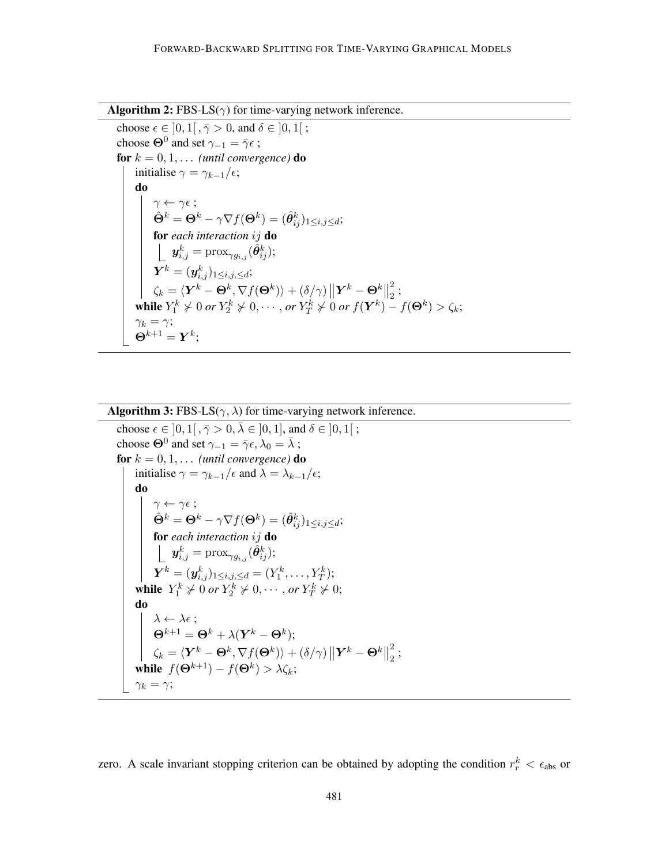

choose  $\epsilon \in [0, 1[, \bar{\gamma} > 0, \text{ and } \delta \in [0, 1];$ choose  $\Theta^0$  and set  $\gamma_{-1} = \bar{\gamma} \epsilon$ ; for  $k = 0, 1, \ldots$  *(until convergence)* do initialise  $\gamma = \gamma_{k-1}/\epsilon$ ; do  $\gamma \leftarrow \gamma \epsilon$ ;  $\hat{\mathbf{\Theta}}^{k} = \mathbf{\Theta}^{k} - \gamma \nabla f(\mathbf{\Theta}^{k}) = (\hat{\boldsymbol{\theta}}^{k}_{ij})_{1 \leq i,j \leq d};$ for *each interaction* ij do  $\bm{y}_{i,j}^k = \text{prox}_{\gamma g_{i,j}}(\hat{\bm{\theta}}_{ij}^k);$  $\boldsymbol{Y}^{k} = (\boldsymbol{y}^{k}_{i,j})_{1\leq i,j,\leq d};$  $\zeta_k = \langle \boldsymbol{Y}^k - \boldsymbol{\Theta}^k, \nabla f(\boldsymbol{\Theta}^k) \rangle + (\delta/\gamma) \left\| \boldsymbol{Y}^k - \boldsymbol{\Theta}^k \right\|_2^2$ 2  $\frac{2}{2}$ ; while  $Y_1^k \neq 0$  *or*  $Y_2^k \neq 0, \cdots,$  *or*  $Y_T^k \neq 0$  *or*  $f(Y^k) - f(\mathbf{\Theta}^k) > \zeta_k$ ;  $\gamma_k = \gamma;$  $\mathbf{\Theta}^{k+1} = \boldsymbol{Y}^k;$ 

```
Algorithm 3: FBS-LS(\gamma, \lambda) for time-varying network inference.
choose \epsilon \in [0, 1], \bar{\gamma} > 0, \bar{\lambda} \in [0, 1], and \delta \in [0, 1];
 choose \Theta^0 and set \gamma_{-1} = \bar{\gamma} \epsilon, \lambda_0 = \bar{\lambda};
for k = 0, 1, \ldots (until convergence) do
        initialise \gamma = \gamma_{k-1}/\epsilon and \lambda = \lambda_{k-1}/\epsilon;
         do
                  \gamma \leftarrow \gamma \epsilon;
                  \hat{\mathbf{\Theta}}^{k} = \mathbf{\Theta}^{k} - \gamma \nabla f(\mathbf{\Theta}^{k}) = (\hat{\boldsymbol{\theta}}^{k}_{ij})_{1 \leq i,j \leq d};for each interaction ij do
                          \bm{y}_{i,j}^k = \text{prox}_{\gamma g_{i,j}}(\hat{\bm{\theta}}_{ij}^k);\boldsymbol{Y}^k = (\boldsymbol{y}^k_{i,j})_{1\leq i,j,\leq d} = (Y^k_1,\ldots,Y^k_T);while Y_1^k \neq 0 or Y_2^k \neq 0, \cdots, or Y_T^k \neq 0;
         do
                  \lambda \leftarrow \lambda \epsilon ;
                  \mathbf{\Theta}^{k+1} = \mathbf{\Theta}^{k} + \lambda (\boldsymbol{Y}^{k} - \mathbf{\Theta}^{k});\zeta_k = \langle \boldsymbol{Y}^k - \boldsymbol{\Theta}^k, \nabla f(\boldsymbol{\Theta}^k) \rangle + (\delta/\gamma) \left\| \boldsymbol{Y}^k - \boldsymbol{\Theta}^k \right\|_22
                                                                                                                                \frac{2}{2} ;
         while f(\mathbf{\Theta}^{k+1}) - f(\mathbf{\Theta}^{k}) > \lambda \zeta_k;\gamma_k = \gamma;
```
<span id="page-6-1"></span>zero. A scale invariant stopping criterion can be obtained by adopting the condition  $r_r^k < \epsilon_{\text{abs}}$  or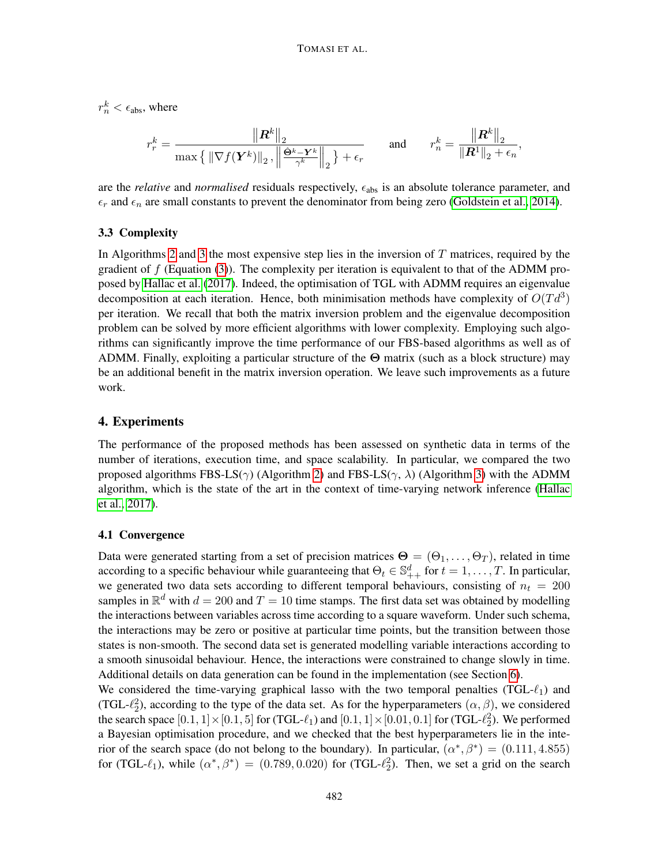$r_n^k < \epsilon_{\text{abs}}$ , where

$$
r_r^k = \frac{\|\mathbf{R}^k\|_2}{\max\left\{\|\nabla f(\mathbf{Y}^k)\|_2, \left\|\frac{\hat{\mathbf{\Theta}}^k - \mathbf{Y}^k}{\gamma^k}\right\|_2\right\} + \epsilon_r} \quad \text{and} \quad r_n^k = \frac{\|\mathbf{R}^k\|_2}{\|\mathbf{R}^1\|_2 + \epsilon_n}
$$

,

are the *relative* and *normalised* residuals respectively,  $\epsilon_{\text{abs}}$  is an absolute tolerance parameter, and  $\epsilon_r$  and  $\epsilon_n$  are small constants to prevent the denominator from being zero [\(Goldstein et al., 2014\)](#page-11-12).

#### 3.3 Complexity

In Algorithms [2](#page-6-0) and [3](#page-6-1) the most expensive step lies in the inversion of  $T$  matrices, required by the gradient of  $f$  (Equation [\(3\)](#page-4-1)). The complexity per iteration is equivalent to that of the ADMM proposed by [Hallac et al.](#page-11-5) [\(2017\)](#page-11-5). Indeed, the optimisation of TGL with ADMM requires an eigenvalue decomposition at each iteration. Hence, both minimisation methods have complexity of  $O(Td^3)$ per iteration. We recall that both the matrix inversion problem and the eigenvalue decomposition problem can be solved by more efficient algorithms with lower complexity. Employing such algorithms can significantly improve the time performance of our FBS-based algorithms as well as of ADMM. Finally, exploiting a particular structure of the  $\Theta$  matrix (such as a block structure) may be an additional benefit in the matrix inversion operation. We leave such improvements as a future work.

## <span id="page-7-0"></span>4. Experiments

The performance of the proposed methods has been assessed on synthetic data in terms of the number of iterations, execution time, and space scalability. In particular, we compared the two proposed algorithms FBS-LS( $\gamma$ ) (Algorithm [2\)](#page-6-0) and FBS-LS( $\gamma$ , λ) (Algorithm [3\)](#page-6-1) with the ADMM algorithm, which is the state of the art in the context of time-varying network inference [\(Hallac](#page-11-5) [et al., 2017\)](#page-11-5).

#### 4.1 Convergence

Data were generated starting from a set of precision matrices  $\Theta = (\Theta_1, \dots, \Theta_T)$ , related in time according to a specific behaviour while guaranteeing that  $\Theta_t \in \mathbb{S}_{++}^d$  for  $t = 1, \ldots, T$ . In particular, we generated two data sets according to different temporal behaviours, consisting of  $n_t = 200$ samples in  $\mathbb{R}^d$  with  $d = 200$  and  $T = 10$  time stamps. The first data set was obtained by modelling the interactions between variables across time according to a square waveform. Under such schema, the interactions may be zero or positive at particular time points, but the transition between those states is non-smooth. The second data set is generated modelling variable interactions according to a smooth sinusoidal behaviour. Hence, the interactions were constrained to change slowly in time. Additional details on data generation can be found in the implementation (see Section [6\)](#page-10-1).

We considered the time-varying graphical lasso with the two temporal penalties (TGL- $\ell_1$ ) and (TGL- $\ell_2^2$ ), according to the type of the data set. As for the hyperparameters  $(\alpha, \beta)$ , we considered the search space  $[0.1, 1] \times [0.1, 5]$  for (TGL- $\ell_1$ ) and  $[0.1, 1] \times [0.01, 0.1]$  for (TGL- $\ell_2^2$ ). We performed a Bayesian optimisation procedure, and we checked that the best hyperparameters lie in the interior of the search space (do not belong to the boundary). In particular,  $(\alpha^*, \beta^*) = (0.111, 4.855)$ for (TGL- $\ell_1$ ), while  $(\alpha^*, \beta^*) = (0.789, 0.020)$  for (TGL- $\ell_2^2$ ). Then, we set a grid on the search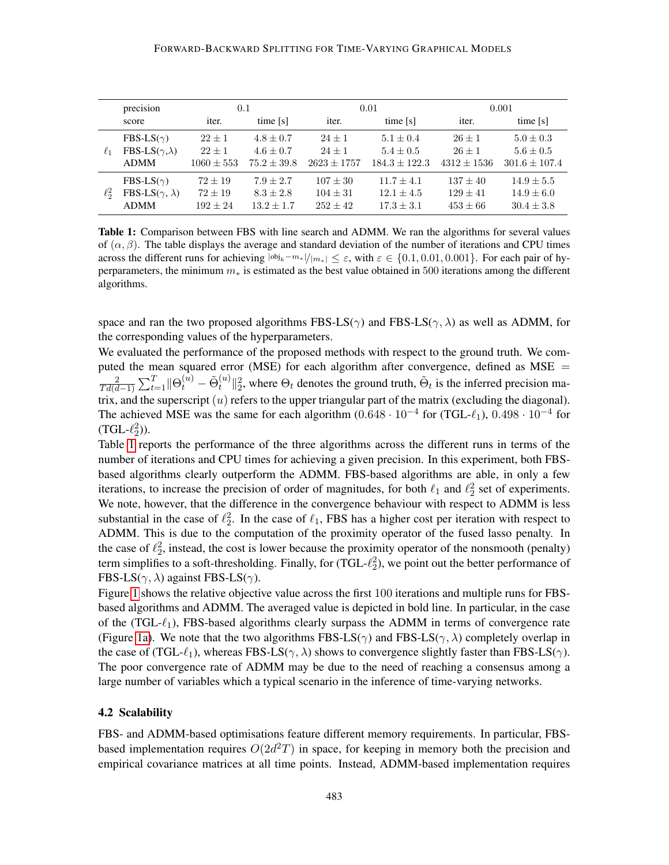<span id="page-8-0"></span>

|            | precision                      | 0.1            |               | 0.01            |                 | 0.001           |                   |
|------------|--------------------------------|----------------|---------------|-----------------|-----------------|-----------------|-------------------|
|            | score                          | iter.          | time [s]      | iter.           | time [s]        | iter.           | time [s]          |
|            | FBS-LS( $\gamma$ )             | $22 + 1$       | $4.8 \pm 0.7$ | $24 + 1$        | $5.1 \pm 0.4$   | $26 + 1$        | $5.0 \pm 0.3$     |
| $\ell_1$   | FBS-LS $(\gamma, \lambda)$     | $22 + 1$       | $4.6 + 0.7$   | $24 + 1$        | $5.4 \pm 0.5$   | $26 + 1$        | $5.6 \pm 0.5$     |
|            | <b>ADMM</b>                    | $1060 \pm 553$ | $75.2 + 39.8$ | $2623 \pm 1757$ | $184.3 + 122.3$ | $4312 \pm 1536$ | $301.6 \pm 107.4$ |
|            | FBS-LS( $\gamma$ )             | $72 + 19$      | $7.9 + 2.7$   | $107 \pm 30$    | $11.7 + 4.1$    | $137 \pm 40$    | $14.9 \pm 5.5$    |
| $\ell_2^2$ | FBS-LS( $\gamma$ , $\lambda$ ) | $72 + 19$      | $8.3 + 2.8$   | $104 + 31$      | $12.1 + 4.5$    | $129 + 41$      | $14.9 + 6.0$      |
|            | <b>ADMM</b>                    | $192 + 24$     | $13.2 + 1.7$  | $252 + 42$      | $17.3 + 3.1$    | $453 \pm 66$    | $30.4 \pm 3.8$    |

Table 1: Comparison between FBS with line search and ADMM. We ran the algorithms for several values of  $(\alpha, \beta)$ . The table displays the average and standard deviation of the number of iterations and CPU times across the different runs for achieving  $|\dot{\omega}_{jk}-m_{*}|/|m_{*}| \leq \varepsilon$ , with  $\varepsilon \in \{0.1, 0.01, 0.001\}$ . For each pair of hyperparameters, the minimum  $m<sub>*</sub>$  is estimated as the best value obtained in 500 iterations among the different algorithms.

space and ran the two proposed algorithms FBS-LS( $\gamma$ ) and FBS-LS( $\gamma$ ,  $\lambda$ ) as well as ADMM, for the corresponding values of the hyperparameters.

We evaluated the performance of the proposed methods with respect to the ground truth. We computed the mean squared error (MSE) for each algorithm after convergence, defined as MSE = 2  $\frac{2}{Td(d-1)}\sum_{t=1}^T\|\Theta^{(u)}_t-\tilde{\Theta}^{(u)}_t$  $\mathbf{E}_t^{(u)}$   $\parallel_2^2$ , where  $\Theta_t$  denotes the ground truth,  $\tilde{\Theta}_t$  is the inferred precision matrix, and the superscript  $(u)$  refers to the upper triangular part of the matrix (excluding the diagonal). The achieved MSE was the same for each algorithm  $(0.648 \cdot 10^{-4}$  for  $(TGL-\ell_1)$ ,  $0.498 \cdot 10^{-4}$  for  $(TGL-\ell_2^2)$ ).

Table [1](#page-8-0) reports the performance of the three algorithms across the different runs in terms of the number of iterations and CPU times for achieving a given precision. In this experiment, both FBSbased algorithms clearly outperform the ADMM. FBS-based algorithms are able, in only a few iterations, to increase the precision of order of magnitudes, for both  $\ell_1$  and  $\ell_2^2$  set of experiments. We note, however, that the difference in the convergence behaviour with respect to ADMM is less substantial in the case of  $\ell_2$ . In the case of  $\ell_1$ , FBS has a higher cost per iteration with respect to ADMM. This is due to the computation of the proximity operator of the fused lasso penalty. In the case of  $\ell_2^2$ , instead, the cost is lower because the proximity operator of the nonsmooth (penalty) term simplifies to a soft-thresholding. Finally, for  $(TGL-\ell_2^2)$ , we point out the better performance of FBS-LS( $\gamma$ ,  $\lambda$ ) against FBS-LS( $\gamma$ ).

Figure [1](#page-9-0) shows the relative objective value across the first 100 iterations and multiple runs for FBSbased algorithms and ADMM. The averaged value is depicted in bold line. In particular, in the case of the  $(TGL-\ell_1)$ , FBS-based algorithms clearly surpass the ADMM in terms of convergence rate (Figure [1a\)](#page-9-0). We note that the two algorithms FBS-LS( $\gamma$ ) and FBS-LS( $\gamma$ ,  $\lambda$ ) completely overlap in the case of (TGL- $\ell_1$ ), whereas FBS-LS( $\gamma$ ,  $\lambda$ ) shows to convergence slightly faster than FBS-LS( $\gamma$ ). The poor convergence rate of ADMM may be due to the need of reaching a consensus among a large number of variables which a typical scenario in the inference of time-varying networks.

#### 4.2 Scalability

FBS- and ADMM-based optimisations feature different memory requirements. In particular, FBSbased implementation requires  $O(2d^2T)$  in space, for keeping in memory both the precision and empirical covariance matrices at all time points. Instead, ADMM-based implementation requires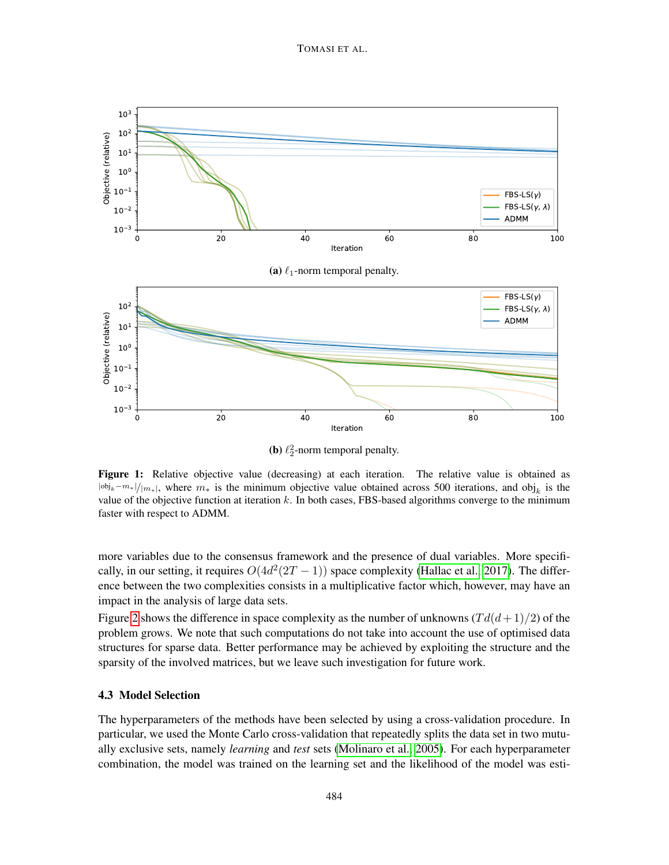<span id="page-9-0"></span>

**(b)**  $\ell_2^2$ -norm temporal penalty.

Figure 1: Relative objective value (decreasing) at each iteration. The relative value is obtained as  $|\text{obj}_k - m_*|/|m_*|$ , where  $m_*$  is the minimum objective value obtained across 500 iterations, and obj<sub>k</sub> is the value of the objective function at iteration  $k$ . In both cases, FBS-based algorithms converge to the minimum faster with respect to ADMM.

more variables due to the consensus framework and the presence of dual variables. More specifically, in our setting, it requires  $O(4d^2(2T-1))$  space complexity [\(Hallac et al., 2017\)](#page-11-5). The difference between the two complexities consists in a multiplicative factor which, however, may have an impact in the analysis of large data sets.

Figure [2](#page-10-2) shows the difference in space complexity as the number of unknowns  $(T d(d+1)/2)$  of the problem grows. We note that such computations do not take into account the use of optimised data structures for sparse data. Better performance may be achieved by exploiting the structure and the sparsity of the involved matrices, but we leave such investigation for future work.

#### 4.3 Model Selection

The hyperparameters of the methods have been selected by using a cross-validation procedure. In particular, we used the Monte Carlo cross-validation that repeatedly splits the data set in two mutually exclusive sets, namely *learning* and *test* sets [\(Molinaro et al., 2005\)](#page-11-13). For each hyperparameter combination, the model was trained on the learning set and the likelihood of the model was esti-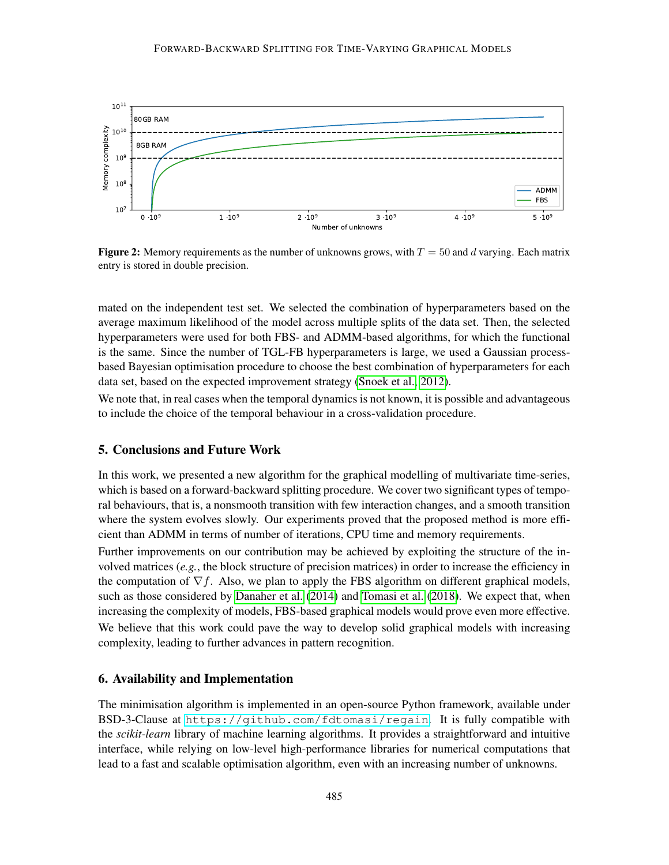<span id="page-10-2"></span>

**Figure 2:** Memory requirements as the number of unknowns grows, with  $T = 50$  and d varying. Each matrix entry is stored in double precision.

mated on the independent test set. We selected the combination of hyperparameters based on the average maximum likelihood of the model across multiple splits of the data set. Then, the selected hyperparameters were used for both FBS- and ADMM-based algorithms, for which the functional is the same. Since the number of TGL-FB hyperparameters is large, we used a Gaussian processbased Bayesian optimisation procedure to choose the best combination of hyperparameters for each data set, based on the expected improvement strategy [\(Snoek et al., 2012\)](#page-11-14).

We note that, in real cases when the temporal dynamics is not known, it is possible and advantageous to include the choice of the temporal behaviour in a cross-validation procedure.

## <span id="page-10-0"></span>5. Conclusions and Future Work

In this work, we presented a new algorithm for the graphical modelling of multivariate time-series, which is based on a forward-backward splitting procedure. We cover two significant types of temporal behaviours, that is, a nonsmooth transition with few interaction changes, and a smooth transition where the system evolves slowly. Our experiments proved that the proposed method is more efficient than ADMM in terms of number of iterations, CPU time and memory requirements.

Further improvements on our contribution may be achieved by exploiting the structure of the involved matrices (*e.g.*, the block structure of precision matrices) in order to increase the efficiency in the computation of  $\nabla f$ . Also, we plan to apply the FBS algorithm on different graphical models, such as those considered by [Danaher et al.](#page-11-4) [\(2014\)](#page-11-4) and [Tomasi et al.](#page-11-6) [\(2018\)](#page-11-6). We expect that, when increasing the complexity of models, FBS-based graphical models would prove even more effective. We believe that this work could pave the way to develop solid graphical models with increasing complexity, leading to further advances in pattern recognition.

### <span id="page-10-1"></span>6. Availability and Implementation

The minimisation algorithm is implemented in an open-source Python framework, available under BSD-3-Clause at <https://github.com/fdtomasi/regain>. It is fully compatible with the *scikit-learn* library of machine learning algorithms. It provides a straightforward and intuitive interface, while relying on low-level high-performance libraries for numerical computations that lead to a fast and scalable optimisation algorithm, even with an increasing number of unknowns.